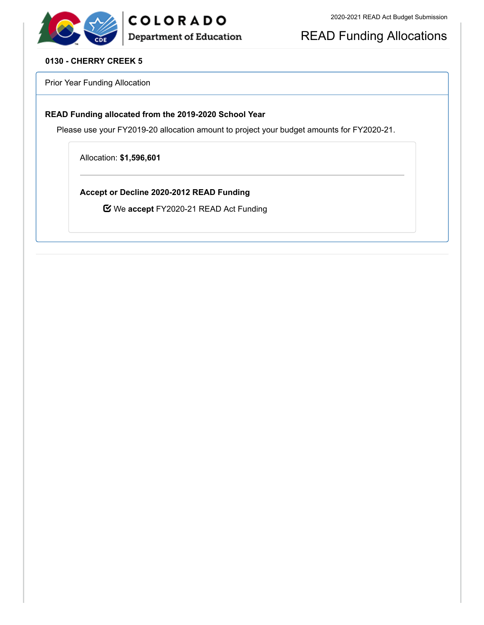# READ Funding Allocations

#### **0130 - CHERRY CREEK 5**

Prior Year Funding Allocation

#### **READ Funding allocated from the 2019-2020 School Year**

Please use your FY2019-20 allocation amount to project your budget amounts for FY2020-21.

Allocation: **\$1,596,601**

**Accept or Decline 2020-2012 READ Funding**

We **accept** FY2020-21 READ Act Funding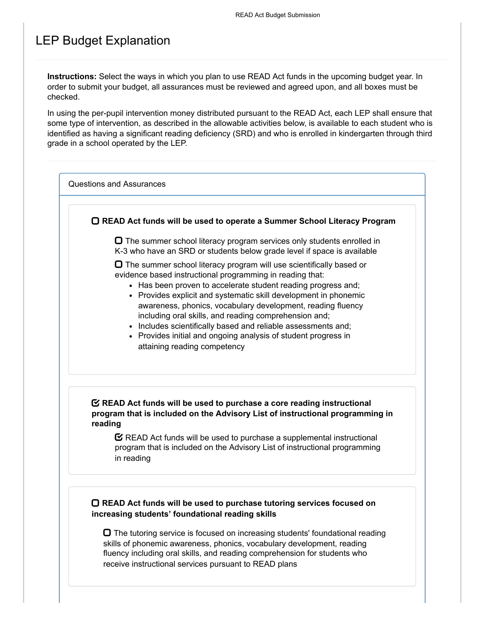## LEP Budget Explanation

**Instructions:** Select the ways in which you plan to use READ Act funds in the upcoming budget year. In order to submit your budget, all assurances must be reviewed and agreed upon, and all boxes must be checked.

In using the per-pupil intervention money distributed pursuant to the READ Act, each LEP shall ensure that some type of intervention, as described in the allowable activities below, is available to each student who is identified as having a significant reading deficiency (SRD) and who is enrolled in kindergarten through third grade in a school operated by the LEP.

Questions and Assurances

**READ Act funds will be used to operate a Summer School Literacy Program**

 $\Box$  The summer school literacy program services only students enrolled in K-3 who have an SRD or students below grade level if space is available

 $\Box$  The summer school literacy program will use scientifically based or evidence based instructional programming in reading that:

- Has been proven to accelerate student reading progress and;
- Provides explicit and systematic skill development in phonemic awareness, phonics, vocabulary development, reading fluency including oral skills, and reading comprehension and;
- Includes scientifically based and reliable assessments and;
- Provides initial and ongoing analysis of student progress in attaining reading competency

#### **READ Act funds will be used to purchase a core reading instructional program that is included on the Advisory List of instructional programming in reading**

 $\mathbf C$  READ Act funds will be used to purchase a supplemental instructional program that is included on the Advisory List of instructional programming in reading

#### **READ Act funds will be used to purchase tutoring services focused on increasing students' foundational reading skills**

 $\Box$  The tutoring service is focused on increasing students' foundational reading skills of phonemic awareness, phonics, vocabulary development, reading fluency including oral skills, and reading comprehension for students who receive instructional services pursuant to READ plans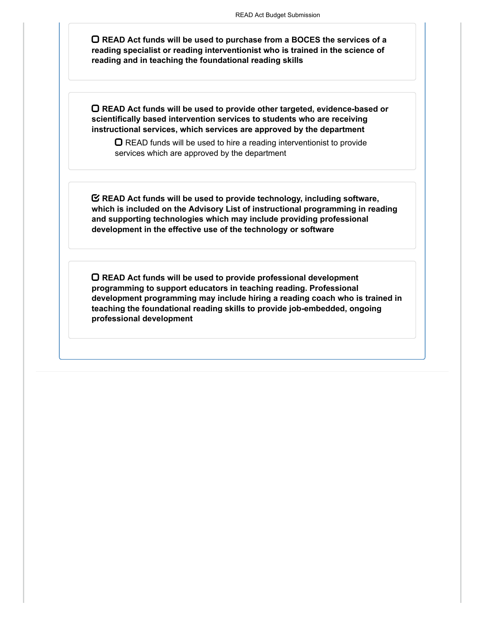**READ Act funds will be used to purchase from a BOCES the services of a reading specialist or reading interventionist who is trained in the science of reading and in teaching the foundational reading skills**

**READ Act funds will be used to provide other targeted, evidence-based or scientifically based intervention services to students who are receiving instructional services, which services are approved by the department**

 $\Box$  READ funds will be used to hire a reading interventionist to provide services which are approved by the department

**READ Act funds will be used to provide technology, including software, which is included on the Advisory List of instructional programming in reading and supporting technologies which may include providing professional development in the effective use of the technology or software**

**READ Act funds will be used to provide professional development programming to support educators in teaching reading. Professional development programming may include hiring a reading coach who is trained in teaching the foundational reading skills to provide job-embedded, ongoing professional development**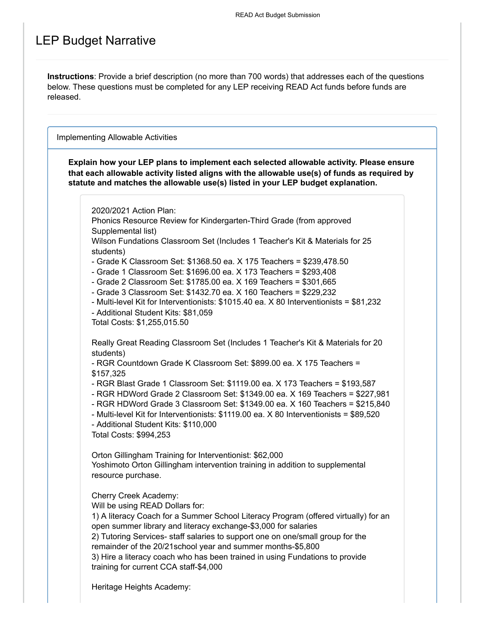## LEP Budget Narrative

**Instructions**: Provide a brief description (no more than 700 words) that addresses each of the questions below. These questions must be completed for any LEP receiving READ Act funds before funds are released.

Implementing Allowable Activities

**Explain how your LEP plans to implement each selected allowable activity. Please ensure that each allowable activity listed aligns with the allowable use(s) of funds as required by statute and matches the allowable use(s) listed in your LEP budget explanation.**

2020/2021 Action Plan:

Phonics Resource Review for Kindergarten-Third Grade (from approved Supplemental list)

Wilson Fundations Classroom Set (Includes 1 Teacher's Kit & Materials for 25 students)

- Grade K Classroom Set: \$1368.50 ea. X 175 Teachers = \$239,478.50
- Grade 1 Classroom Set: \$1696.00 ea. X 173 Teachers = \$293,408
- Grade 2 Classroom Set: \$1785.00 ea. X 169 Teachers = \$301,665
- Grade 3 Classroom Set: \$1432.70 ea. X 160 Teachers = \$229,232

- Multi-level Kit for Interventionists: \$1015.40 ea. X 80 Interventionists = \$81,232 - Additional Student Kits: \$81,059

Total Costs: \$1,255,015.50

Really Great Reading Classroom Set (Includes 1 Teacher's Kit & Materials for 20 students)

- RGR Countdown Grade K Classroom Set: \$899.00 ea. X 175 Teachers = \$157,325

- RGR Blast Grade 1 Classroom Set: \$1119.00 ea. X 173 Teachers = \$193,587

- RGR HDWord Grade 2 Classroom Set: \$1349.00 ea. X 169 Teachers = \$227,981
- RGR HDWord Grade 3 Classroom Set: \$1349.00 ea. X 160 Teachers = \$215,840
- Multi-level Kit for Interventionists: \$1119.00 ea. X 80 Interventionists = \$89,520
- Additional Student Kits: \$110,000

Total Costs: \$994,253

Orton Gillingham Training for Interventionist: \$62,000 Yoshimoto Orton Gillingham intervention training in addition to supplemental resource purchase.

Cherry Creek Academy:

Will be using READ Dollars for:

1) A literacy Coach for a Summer School Literacy Program (offered virtually) for an open summer library and literacy exchange-\$3,000 for salaries

2) Tutoring Services- staff salaries to support one on one/small group for the remainder of the 20/21school year and summer months-\$5,800

3) Hire a literacy coach who has been trained in using Fundations to provide training for current CCA staff-\$4,000

Heritage Heights Academy: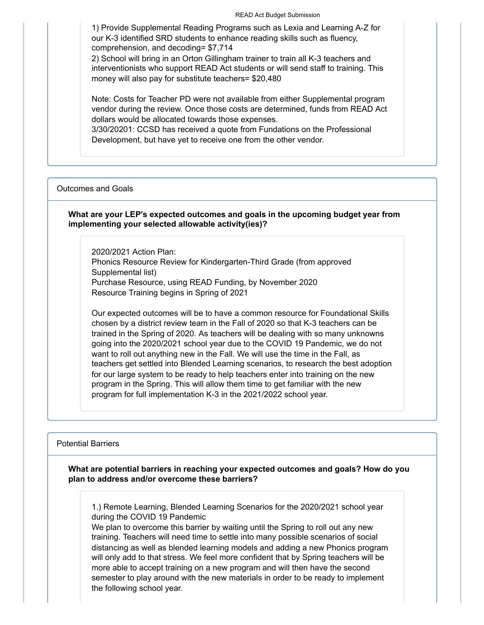READ Act Budget Submission

1) Provide Supplemental Reading Programs such as Lexia and Learning A-Z for our K-3 identified SRD students to enhance reading skills such as fluency, comprehension, and decoding= \$7,714

2) School will bring in an Orton Gillingham trainer to train all K-3 teachers and interventionists who support READ Act students or will send staff to training. This money will also pay for substitute teachers= \$20,480

Note: Costs for Teacher PD were not available from either Supplemental program vendor during the review. Once those costs are determined, funds from READ Act dollars would be allocated towards those expenses.

3/30/20201: CCSD has received a quote from Fundations on the Professional Development, but have yet to receive one from the other vendor.

#### Outcomes and Goals

#### **What are your LEP's expected outcomes and goals in the upcoming budget year from implementing your selected allowable activity(ies)?**

2020/2021 Action Plan: Phonics Resource Review for Kindergarten-Third Grade (from approved Supplemental list) Purchase Resource, using READ Funding, by November 2020 Resource Training begins in Spring of 2021

Our expected outcomes will be to have a common resource for Foundational Skills chosen by a district review team in the Fall of 2020 so that K-3 teachers can be trained in the Spring of 2020. As teachers will be dealing with so many unknowns going into the 2020/2021 school year due to the COVID 19 Pandemic, we do not want to roll out anything new in the Fall. We will use the time in the Fall, as teachers get settled into Blended Learning scenarios, to research the best adoption for our large system to be ready to help teachers enter into training on the new program in the Spring. This will allow them time to get familiar with the new program for full implementation K-3 in the 2021/2022 school year.

Potential Barriers

**What are potential barriers in reaching your expected outcomes and goals? How do you plan to address and/or overcome these barriers?**

1.) Remote Learning, Blended Learning Scenarios for the 2020/2021 school year during the COVID 19 Pandemic

We plan to overcome this barrier by waiting until the Spring to roll out any new training. Teachers will need time to settle into many possible scenarios of social distancing as well as blended learning models and adding a new Phonics program will only add to that stress. We feel more confident that by Spring teachers will be more able to accept training on a new program and will then have the second semester to play around with the new materials in order to be ready to implement the following school year.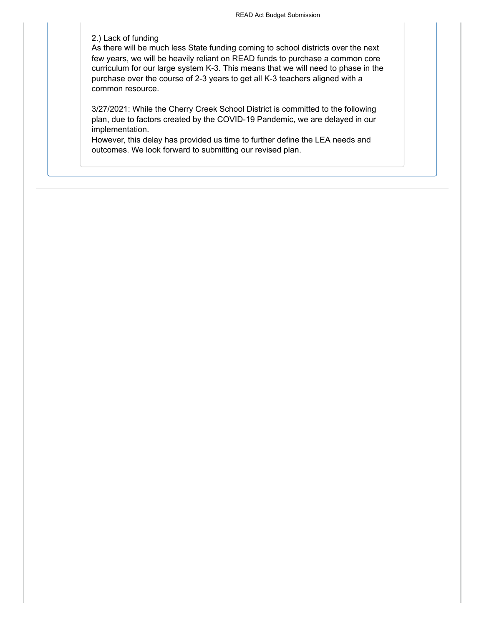#### 2.) Lack of funding

As there will be much less State funding coming to school districts over the next few years, we will be heavily reliant on READ funds to purchase a common core curriculum for our large system K-3. This means that we will need to phase in the purchase over the course of 2-3 years to get all K-3 teachers aligned with a common resource.

3/27/2021: While the Cherry Creek School District is committed to the following plan, due to factors created by the COVID-19 Pandemic, we are delayed in our implementation.

However, this delay has provided us time to further define the LEA needs and outcomes. We look forward to submitting our revised plan.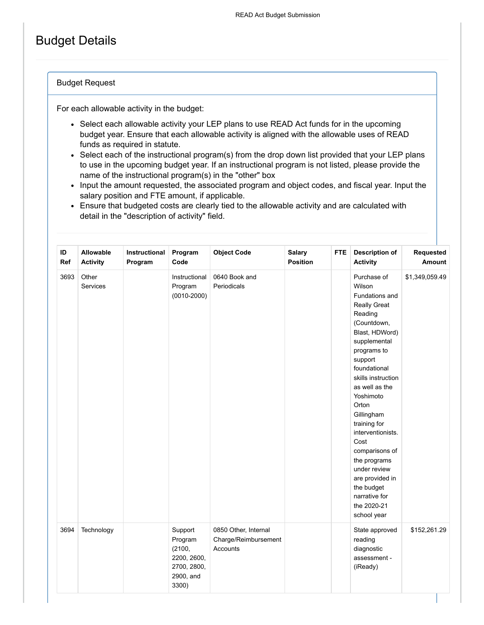# Budget Details

#### Budget Request

For each allowable activity in the budget:

- Select each allowable activity your LEP plans to use READ Act funds for in the upcoming budget year. Ensure that each allowable activity is aligned with the allowable uses of READ funds as required in statute.
- Select each of the instructional program(s) from the drop down list provided that your LEP plans to use in the upcoming budget year. If an instructional program is not listed, please provide the name of the instructional program(s) in the "other" box
- Input the amount requested, the associated program and object codes, and fiscal year. Input the salary position and FTE amount, if applicable.
- Ensure that budgeted costs are clearly tied to the allowable activity and are calculated with detail in the "description of activity" field.

| ID<br>Ref | Allowable<br><b>Activity</b> | Instructional<br>Program | Program<br>Code                                                                  | <b>Object Code</b>                                       | <b>Salary</b><br><b>Position</b> | <b>FTE</b> | <b>Description of</b><br><b>Activity</b>                                                                                                                                                                                                                                                                                                                                                                                        | Requested<br>Amount |
|-----------|------------------------------|--------------------------|----------------------------------------------------------------------------------|----------------------------------------------------------|----------------------------------|------------|---------------------------------------------------------------------------------------------------------------------------------------------------------------------------------------------------------------------------------------------------------------------------------------------------------------------------------------------------------------------------------------------------------------------------------|---------------------|
| 3693      | Other<br>Services            |                          | Instructional<br>Program<br>$(0010 - 2000)$                                      | 0640 Book and<br>Periodicals                             |                                  |            | Purchase of<br>Wilson<br>Fundations and<br><b>Really Great</b><br>Reading<br>(Countdown,<br>Blast, HDWord)<br>supplemental<br>programs to<br>support<br>foundational<br>skills instruction<br>as well as the<br>Yoshimoto<br>Orton<br>Gillingham<br>training for<br>interventionists.<br>Cost<br>comparisons of<br>the programs<br>under review<br>are provided in<br>the budget<br>narrative for<br>the 2020-21<br>school year | \$1,349,059.49      |
| 3694      | Technology                   |                          | Support<br>Program<br>(2100,<br>2200, 2600,<br>2700, 2800,<br>2900, and<br>3300) | 0850 Other, Internal<br>Charge/Reimbursement<br>Accounts |                                  |            | State approved<br>reading<br>diagnostic<br>assessment -<br>(iReady)                                                                                                                                                                                                                                                                                                                                                             | \$152,261.29        |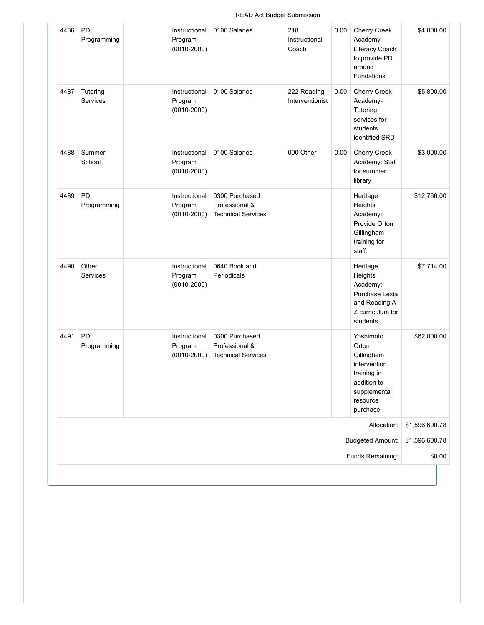| \$4,000.00     | <b>Cherry Creek</b><br>Academy-<br>Literacy Coach<br>to provide PD<br>around<br>Fundations                             | 0.00 | 218<br>Instructional<br>Coach  | 0100 Salaries                                                 | Instructional<br>Program<br>$(0010 - 2000)$ | PD<br>Programming    | 4486 |
|----------------|------------------------------------------------------------------------------------------------------------------------|------|--------------------------------|---------------------------------------------------------------|---------------------------------------------|----------------------|------|
| \$5,800.00     | <b>Cherry Creek</b><br>Academy-<br>Tutoring<br>services for<br>students<br>identified SRD                              | 0.00 | 222 Reading<br>Interventionist | 0100 Salaries                                                 | Instructional<br>Program<br>$(0010 - 2000)$ | Tutoring<br>Services | 4487 |
| \$3,000.00     | <b>Cherry Creek</b><br>Academy: Staff<br>for summer<br>library                                                         | 0.00 | 000 Other                      | 0100 Salaries                                                 | Instructional<br>Program<br>$(0010 - 2000)$ | Summer<br>School     | 4488 |
| \$12,766.00    | Heritage<br>Heights<br>Academy:<br>Provide Orton<br>Gillingham<br>training for<br>staff.                               |      |                                | 0300 Purchased<br>Professional &<br><b>Technical Services</b> | Instructional<br>Program<br>$(0010 - 2000)$ | PD<br>Programming    | 4489 |
| \$7,714.00     | Heritage<br>Heights<br>Academy:<br>Purchase Lexia<br>and Reading A-<br>Z curriculum for<br>students                    |      |                                | 0640 Book and<br>Periodicals                                  | Instructional<br>Program<br>$(0010 - 2000)$ | Other<br>Services    | 4490 |
| \$62,000.00    | Yoshimoto<br>Orton<br>Gillingham<br>intervention<br>training in<br>addition to<br>supplemental<br>resource<br>purchase |      |                                | 0300 Purchased<br>Professional &<br><b>Technical Services</b> | Instructional<br>Program<br>$(0010 - 2000)$ | PD<br>Programming    | 4491 |
| \$1,596,600.78 | Allocation:                                                                                                            |      |                                |                                                               |                                             |                      |      |
| \$1,596,600.78 | <b>Budgeted Amount:</b>                                                                                                |      |                                |                                                               |                                             |                      |      |
| \$0.00         | Funds Remaining:                                                                                                       |      |                                |                                                               |                                             |                      |      |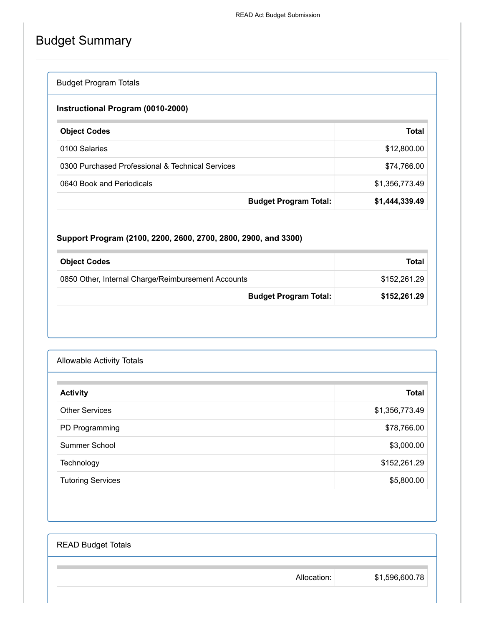# Budget Summary

### Budget Program Totals

### **Instructional Program (0010-2000)**

| <b>Object Codes</b>                              | <b>Total</b>                                   |
|--------------------------------------------------|------------------------------------------------|
| 0100 Salaries                                    | \$12,800.00                                    |
| 0300 Purchased Professional & Technical Services | \$74,766.00                                    |
| 0640 Book and Periodicals                        | \$1,356,773.49                                 |
|                                                  | \$1,444,339.49<br><b>Budget Program Total:</b> |

### **Support Program (2100, 2200, 2600, 2700, 2800, 2900, and 3300)**

| <b>Object Codes</b>                                | <b>Total</b> |
|----------------------------------------------------|--------------|
| 0850 Other, Internal Charge/Reimbursement Accounts | \$152.261.29 |
| <b>Budget Program Total:</b>                       | \$152,261.29 |

| <b>Allowable Activity Totals</b> |                |
|----------------------------------|----------------|
| <b>Activity</b>                  | <b>Total</b>   |
| <b>Other Services</b>            | \$1,356,773.49 |
| PD Programming                   | \$78,766.00    |
| Summer School                    | \$3,000.00     |
| Technology                       | \$152,261.29   |
| <b>Tutoring Services</b>         | \$5,800.00     |

| <b>READ Budget Totals</b> |             |                |
|---------------------------|-------------|----------------|
|                           | Allocation: | \$1,596,600.78 |